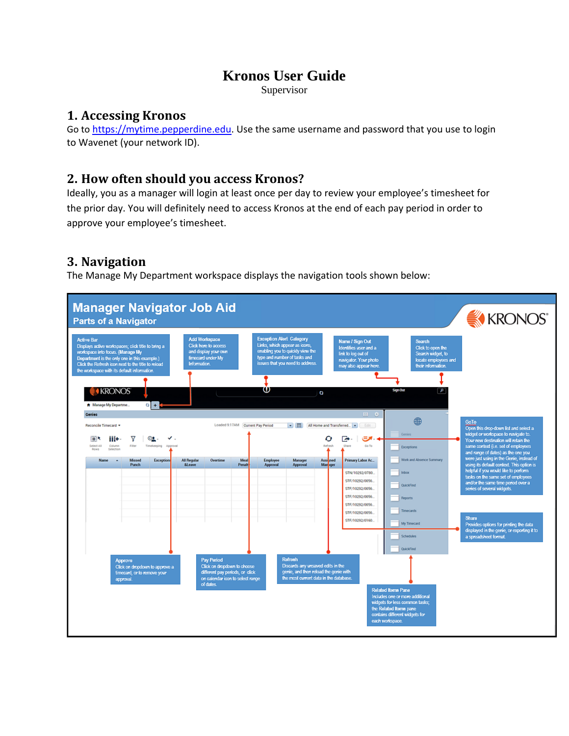# **Kronos User Guide**

Supervisor

### **1. Accessing Kronos**

Go to [https://mytime.pepperdine.edu.](https://mytime.pepperdine.edu/) Use the same username and password that you use to login to Wavenet (your network ID).

## **2. How often should you access Kronos?**

Ideally, you as a manager will login at least once per day to review your employee's timesheet for the prior day. You will definitely need to access Kronos at the end of each pay period in order to approve your employee's timesheet.

## **3. Navigation**

The Manage My Department workspace displays the navigation tools shown below:

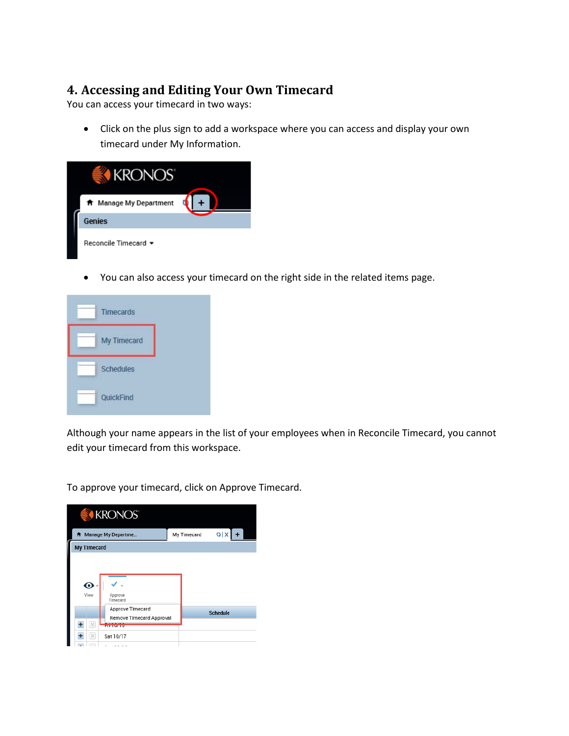## **4. Accessing and Editing Your Own Timecard**

You can access your timecard in two ways:

• Click on the plus sign to add a workspace where you can access and display your own timecard under My Information.



• You can also access your timecard on the right side in the related items page.



Although your name appears in the list of your employees when in Reconcile Timecard, you cannot edit your timecard from this workspace.

To approve your timecard, click on Approve Timecard.

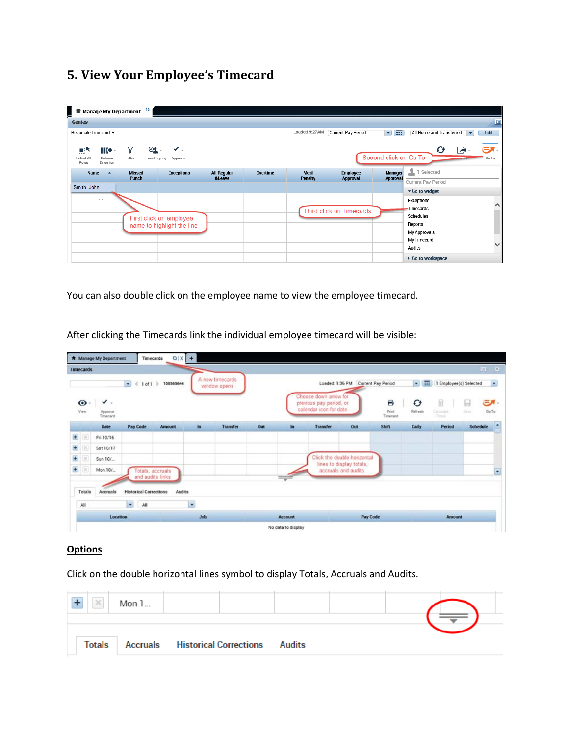# **5. View Your Employee's Timecard**

| <mark>f</mark> Manage My Department <sup>₹2</sup>                                                                        |                                         |          |                 |                                 |                            |                          |                     |
|--------------------------------------------------------------------------------------------------------------------------|-----------------------------------------|----------|-----------------|---------------------------------|----------------------------|--------------------------|---------------------|
| Genies                                                                                                                   |                                         |          |                 |                                 |                            |                          | $\Box$              |
| Reconcile Timecard ~                                                                                                     |                                         |          | Loaded 9:27AM   | <b>Current Pay Period</b>       | 기묘                         | All Home and Transferred | Edit                |
| 圓<br>iii+-<br>Υ<br>$\mathbf{O}$ .<br>✔<br>Select All<br>Column<br>Filter<br>Approval<br>Timekeeping<br>Selection<br>Rows |                                         |          |                 |                                 | Second click on Go To      | Ø<br>$\epsilon$          | <u>ел.</u><br>Go To |
| <b>Missed</b><br><b>Exceptions</b><br>Name<br>z<br>Punch                                                                 | <b>All Regular</b><br><b>&amp;Leave</b> | Overtime | Meal<br>Penalty | <b>Employee</b><br>Approval     | Manager<br><b>Approval</b> | 1 Selected               |                     |
| Smith, John                                                                                                              |                                         |          |                 |                                 |                            | Current Pay Period       |                     |
|                                                                                                                          |                                         |          |                 |                                 |                            | Go to widget             |                     |
| $\sim$ $\sim$                                                                                                            |                                         |          |                 |                                 |                            | Exceptions               | ∧                   |
|                                                                                                                          |                                         |          |                 | <b>Third click on Timecards</b> |                            | Timecards                |                     |
| First click on employee                                                                                                  |                                         |          |                 |                                 |                            | Schedules                |                     |
| name to highlight the line                                                                                               |                                         |          |                 |                                 |                            | Reports                  |                     |
|                                                                                                                          |                                         |          |                 |                                 |                            | My Approvals             |                     |
|                                                                                                                          |                                         |          |                 |                                 |                            | My Timecard              | V                   |
|                                                                                                                          |                                         |          |                 |                                 |                            | Audits                   |                     |
|                                                                                                                          |                                         |          |                 |                                 |                            | ▶ Go to workspace        |                     |

You can also double click on the employee name to view the employee timecard.

|   | <b>Timecards</b>         |                                       |                               |                       |            |                                 |     |         |                                                                            |                                                  |                        |                      |                                 | 回 尊                              |
|---|--------------------------|---------------------------------------|-------------------------------|-----------------------|------------|---------------------------------|-----|---------|----------------------------------------------------------------------------|--------------------------------------------------|------------------------|----------------------|---------------------------------|----------------------------------|
|   |                          |                                       | $\bullet$                     | $41$ of 1 $100365644$ |            | A new timecards<br>window opens |     |         |                                                                            | Loaded: 1:36 PM Current Pay Period               |                        |                      | - 1 Employee(s) Selected        |                                  |
|   | $\bullet$<br>View        | $\checkmark$ .<br>Approve<br>Timecard |                               |                       |            |                                 |     |         | Choose down arrow for<br>previous pay period, or<br>calendar icon for date |                                                  | Θ<br>Print<br>Timecard | $\bullet$<br>Refresh | 量<br><b>Carpulate</b><br>Terata | <b>EX-</b><br>Ы<br>GoTo<br>Zave. |
|   |                          | Date                                  | Pay Code                      | Amount                | <b>In</b>  | <b>Transfer</b>                 | Out | In      | <b>Transfer</b>                                                            | Out                                              | Shift                  | <b>Daily</b>         | Period                          | Schedule                         |
| ÷ | $\overline{\infty}$      | Fri 10/16                             |                               |                       |            |                                 |     |         |                                                                            |                                                  |                        |                      |                                 |                                  |
| Ð |                          | Sat 10/17                             |                               |                       |            |                                 |     |         |                                                                            |                                                  |                        |                      |                                 |                                  |
| Ð | $\overline{\mathcal{M}}$ | Sun 10/                               |                               |                       |            |                                 |     |         | Click the double horizontal                                                |                                                  |                        |                      |                                 |                                  |
| ÷ |                          | Mon 10/                               |                               | Totals, accruals      |            |                                 |     |         |                                                                            | lines to display totals.<br>accruals and audits. |                        |                      |                                 |                                  |
|   |                          |                                       | and audits links              |                       |            |                                 |     |         |                                                                            |                                                  |                        |                      |                                 |                                  |
|   | Totals                   | Accruals                              | <b>Historical Corrections</b> | Audits                |            |                                 |     |         |                                                                            |                                                  |                        |                      |                                 |                                  |
|   | All                      |                                       | $\bullet$<br>All              |                       | $\cdot$    |                                 |     |         |                                                                            |                                                  |                        |                      |                                 |                                  |
|   |                          | Location                              |                               |                       | <b>Job</b> |                                 |     | Account |                                                                            |                                                  | Pay Code               |                      | Amount                          |                                  |

After clicking the Timecards link the individual employee timecard will be visible:

### **Options**

Click on the double horizontal lines symbol to display Totals, Accruals and Audits.

| $\mathcal{A}$ | Mon 1 |                                               |  |  |
|---------------|-------|-----------------------------------------------|--|--|
|               |       |                                               |  |  |
| <b>Totals</b> |       | <b>Accruals Historical Corrections Audits</b> |  |  |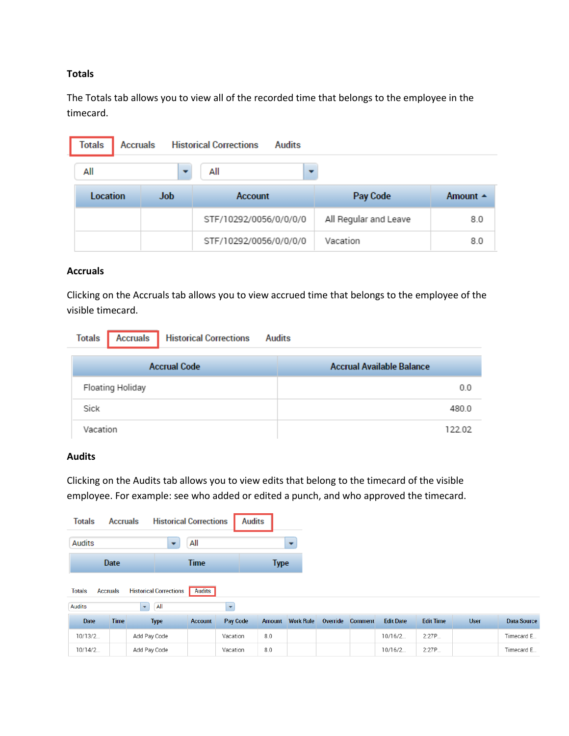#### **Totals**

The Totals tab allows you to view all of the recorded time that belongs to the employee in the timecard.

| <b>Totals</b> | <b>Accruals</b> |                          | <b>Historical Corrections</b> | <b>Audits</b> |                       |                    |
|---------------|-----------------|--------------------------|-------------------------------|---------------|-----------------------|--------------------|
| All           |                 | $\overline{\phantom{a}}$ | All                           |               |                       |                    |
| Location      |                 | <b>Job</b>               | <b>Account</b>                |               | Pay Code              | Amount $\triangle$ |
|               |                 |                          | STF/10292/0056/0/0/0/0        |               | All Regular and Leave | 8.0                |
|               |                 |                          | STF/10292/0056/0/0/0/0        |               | Vacation              | 8.0                |

#### **Accruals**

Clicking on the Accruals tab allows you to view accrued time that belongs to the employee of the visible timecard.

| <b>Accruals</b>   Historical Corrections<br><b>Totals</b> | <b>Audits</b>                    |
|-----------------------------------------------------------|----------------------------------|
| <b>Accrual Code</b>                                       | <b>Accrual Available Balance</b> |
| Floating Holiday                                          | 0.0                              |
| Sick                                                      | 480.0                            |
| Vacation                                                  | 122.02                           |

### **Audits**

Clicking on the Audits tab allows you to view edits that belong to the timecard of the visible employee. For example: see who added or edited a punch, and who approved the timecard.

| Totals                           | <b>Accruals</b> | <b>Historical Corrections</b>      |                | <b>Audits</b> |             |                  |          |                |                  |                  |             |                    |
|----------------------------------|-----------------|------------------------------------|----------------|---------------|-------------|------------------|----------|----------------|------------------|------------------|-------------|--------------------|
| <b>Audits</b>                    |                 |                                    | All            |               |             |                  |          |                |                  |                  |             |                    |
|                                  | Date            |                                    | <b>Time</b>    |               | <b>Type</b> |                  |          |                |                  |                  |             |                    |
| <b>Accruals</b><br><b>Totals</b> |                 | <b>Historical Corrections</b>      | <b>Audits</b>  |               |             |                  |          |                |                  |                  |             |                    |
| <b>Audits</b>                    |                 | $\left  \mathbf{v} \right $<br>All |                | ۰             |             |                  |          |                |                  |                  |             |                    |
| Date                             | <b>Time</b>     | <b>Type</b>                        | <b>Account</b> | Pay Code      | Amount      | <b>Work Rule</b> | Override | <b>Comment</b> | <b>Edit Date</b> | <b>Edit Time</b> | <b>User</b> | <b>Data Source</b> |
| 10/13/2                          |                 | Add Pay Code                       |                | Vacation      | 8.0         |                  |          |                | 10/16/2          | 2:27P            |             | Timecard E         |
| 10/14/2                          |                 | Add Pay Code                       |                | Vacation      | 8.0         |                  |          |                | 10/16/2          | 2:27P            |             | Timecard E         |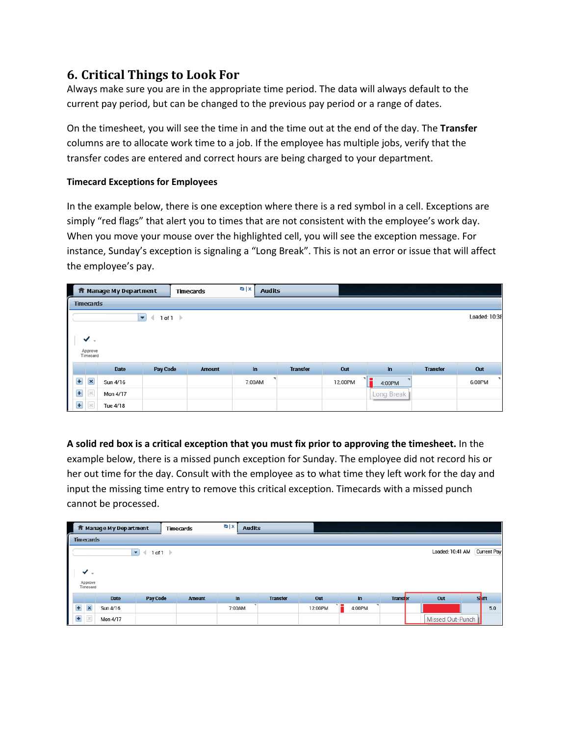## **6. Critical Things to Look For**

Always make sure you are in the appropriate time period. The data will always default to the current pay period, but can be changed to the previous pay period or a range of dates.

On the timesheet, you will see the time in and the time out at the end of the day. The **Transfer**  columns are to allocate work time to a job. If the employee has multiple jobs, verify that the transfer codes are entered and correct hours are being charged to your department.

### **Timecard Exceptions for Employees**

In the example below, there is one exception where there is a red symbol in a cell. Exceptions are simply "red flags" that alert you to times that are not consistent with the employee's work day. When you move your mouse over the highlighted cell, you will see the exception message. For instance, Sunday's exception is signaling a "Long Break". This is not an error or issue that will affect the employee's pay.

|                |                     | <b>ff</b> Manage My Department |                          |        | Timecards     | $Q$   X | <b>Audits</b> |                 |         |              |                 |               |
|----------------|---------------------|--------------------------------|--------------------------|--------|---------------|---------|---------------|-----------------|---------|--------------|-----------------|---------------|
|                | <b>Timecards</b>    |                                |                          |        |               |         |               |                 |         |              |                 |               |
|                |                     |                                | $\overline{\phantom{a}}$ | 1 of 1 |               |         |               |                 |         |              |                 | Loaded: 10:38 |
|                |                     |                                |                          |        |               |         |               |                 |         |              |                 |               |
|                | $\checkmark$ .      |                                |                          |        |               |         |               |                 |         |              |                 |               |
|                | Approve<br>Timecard |                                |                          |        |               |         |               |                 |         |              |                 |               |
|                |                     | Date                           | <b>Pay Code</b>          |        | <b>Amount</b> | In      |               | <b>Transfer</b> | Out     | In           | <b>Transfer</b> | Out           |
| $\overline{+}$ | $\pmb{\times}$      | Sun 4/16                       |                          |        |               | 7:00AM  |               |                 | 12:00PM | 기름<br>4:00PM |                 | ×<br>6:00PM   |
| $\ddot{}$      | $\times$            | Mon 4/17                       |                          |        |               |         |               |                 |         | Long Break   |                 |               |
| $\mathbf{H}$   |                     | Tue 4/18                       |                          |        |               |         |               |                 |         |              |                 |               |

**A solid red box is a critical exception that you must fix prior to approving the timesheet.** In the example below, there is a missed punch exception for Sunday. The employee did not record his or her out time for the day. Consult with the employee as to what time they left work for the day and input the missing time entry to remove this critical exception. Timecards with a missed punch cannot be processed.

|   |                          | fr Manage My Department |                                    | <b>Timecards</b> | $Q$ $x$<br><b>Audits</b> |                 |         |        |                 |                  |                    |
|---|--------------------------|-------------------------|------------------------------------|------------------|--------------------------|-----------------|---------|--------|-----------------|------------------|--------------------|
|   | Timecards                |                         |                                    |                  |                          |                 |         |        |                 |                  |                    |
|   |                          |                         | 1 of 1<br>$\overline{\phantom{0}}$ |                  |                          |                 |         |        |                 | Loaded: 10:41 AM | <b>Current Pay</b> |
|   | ✔<br>Approve<br>Timecard |                         |                                    |                  |                          |                 |         |        |                 |                  |                    |
|   |                          | Date                    | Pay Code                           | <b>Amount</b>    | In                       | <b>Transfer</b> | Out     | $\ln$  | <b>Transfer</b> | Out              | <b>Shift</b>       |
|   | $\overline{\mathbf{x}}$  | Sun 4/16                |                                    |                  | 7:00AM                   |                 | 12:00PM | 4:00PM |                 |                  | 5.0                |
| Ŧ |                          | Mon 4/17                |                                    |                  |                          |                 |         |        |                 | Missed Out-Punch |                    |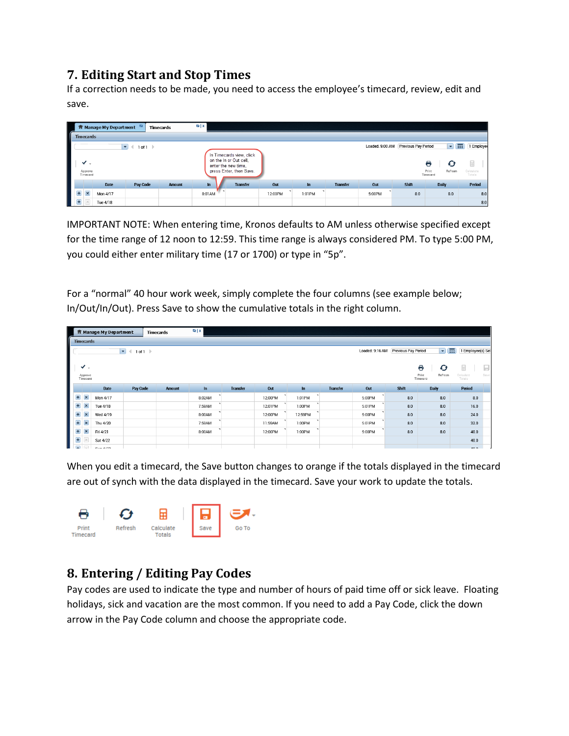## **7. Editing Start and Stop Times**

If a correction needs to be made, you need to access the employee's timecard, review, edit and save.

|   |                          |           | fr Manage My Department | <b>Timecards</b> |               | $Q$ $x$ |                                                                                                      |         |        |                 |                 |                     |                                        |                          |
|---|--------------------------|-----------|-------------------------|------------------|---------------|---------|------------------------------------------------------------------------------------------------------|---------|--------|-----------------|-----------------|---------------------|----------------------------------------|--------------------------|
|   |                          | Timecards |                         |                  |               |         |                                                                                                      |         |        |                 |                 |                     |                                        |                          |
|   |                          |           | ▾                       | 1 of 1           |               |         |                                                                                                      |         |        |                 | Loaded: 9:00 AM | Previous Pay Period | ◘ ⊞                                    | 1 Employee               |
|   | ◡<br>Approve<br>Timecard | $\sim$    |                         |                  |               |         | In Timecards view, click<br>on the In or Out cell,<br>enter the new time,<br>press Enter, then Save. |         |        |                 |                 |                     | Θ<br>Ø<br>Print<br>Refresh<br>Timecard | Ħ<br>Calculate<br>Totals |
|   |                          |           | Pay Code<br>Date        |                  | <b>Amount</b> | $\ln$   | <b>Transfer</b>                                                                                      | Out     | $\ln$  | <b>Transfer</b> | Out             | <b>Shift</b>        | <b>Daily</b>                           | Period                   |
| ÷ | $\vert x \vert$          | Mon 4/17  |                         |                  |               | 8:01 AM |                                                                                                      | 12:00PM | 1:01PM |                 | 5:00PM          | 8.0                 | 8.0                                    | 8.0                      |
|   |                          | Tue 4/18  |                         |                  |               |         |                                                                                                      |         |        |                 |                 |                     |                                        | 8.0                      |

IMPORTANT NOTE: When entering time, Kronos defaults to AM unless otherwise specified except for the time range of 12 noon to 12:59. This time range is always considered PM. To type 5:00 PM, you could either enter military time (17 or 1700) or type in "5p".

For a "normal" 40 hour work week, simply complete the four columns (see example below; In/Out/In/Out). Press Save to show the cumulative totals in the right column.

|       |                     | fr Manage My Department |                                                  | <b>Timecards</b> |               | Q[X]   |                 |         |         |                 |                 |                     |                              |                             |
|-------|---------------------|-------------------------|--------------------------------------------------|------------------|---------------|--------|-----------------|---------|---------|-----------------|-----------------|---------------------|------------------------------|-----------------------------|
|       | Timecards           |                         |                                                  |                  |               |        |                 |         |         |                 |                 |                     |                              |                             |
|       |                     |                         | $\blacktriangledown$<br>$\overline{\phantom{a}}$ | 1 of 1           |               |        |                 |         |         |                 | Loaded: 9:16 AM | Previous Pay Period | $\blacktriangledown$         | Æ<br>Employee(s) Sel        |
|       |                     |                         |                                                  |                  |               |        |                 |         |         |                 |                 |                     |                              |                             |
|       | ✓<br>$\sim$         |                         |                                                  |                  |               |        |                 |         |         |                 |                 |                     | 8<br>$\bullet$               | ⊞<br>ы                      |
|       | Approve<br>Timecard |                         |                                                  |                  |               |        |                 |         |         |                 |                 |                     | Refresh<br>Print<br>Timecard | Save<br>Calculate<br>Totals |
|       |                     | Date                    | Pay Code                                         |                  | <b>Amount</b> | $\ln$  | <b>Transfer</b> | Out     | $\ln$   | <b>Transfer</b> | Out             | Shift               | <b>Daily</b>                 | Period                      |
| Ŧ     | ×                   | Mon 4/17                |                                                  |                  |               | 8:02AM |                 | 12:00PM | 1:01PM  |                 | 5:00PM          | 8.0                 | 8.0                          | 8.0                         |
| Ŧ     | ×                   | Tue 4/18                |                                                  |                  |               | 7:59AM |                 | 12:01PM | 1:00PM  |                 | 5:01 PM         | 8.0                 | 8.0                          | 16.0                        |
| Ŧ     | ×                   | Wed 4/19                |                                                  |                  |               | 8:00AM |                 | 12:00PM | 12:59PM |                 | 5:00PM          | 8.0                 | 8.0                          | 24.0                        |
| $\pm$ | ×                   | Thu 4/20                |                                                  |                  |               | 7:59AM |                 | 11:59AM | 1:00PM  |                 | 5:01 PM         | 8.0                 | 8.0                          | 32.0                        |
| Ŧ     | ×                   | Fri 4/21                |                                                  |                  |               | 8:00AM |                 | 12:00PM | 1:00PM  |                 | 5:00PM          | 8.0                 | 8.0                          | 40.0                        |
| Ŧ     |                     | Sat 4/22                |                                                  |                  |               |        |                 |         |         |                 |                 |                     |                              | 40.0                        |
|       |                     | $C_{112}$ $A122$        |                                                  |                  |               |        |                 |         |         |                 |                 |                     |                              | 400                         |

When you edit a timecard, the Save button changes to orange if the totals displayed in the timecard are out of synch with the data displayed in the timecard. Save your work to update the totals.



# **8. Entering / Editing Pay Codes**

Pay codes are used to indicate the type and number of hours of paid time off or sick leave. Floating holidays, sick and vacation are the most common. If you need to add a Pay Code, click the down arrow in the Pay Code column and choose the appropriate code.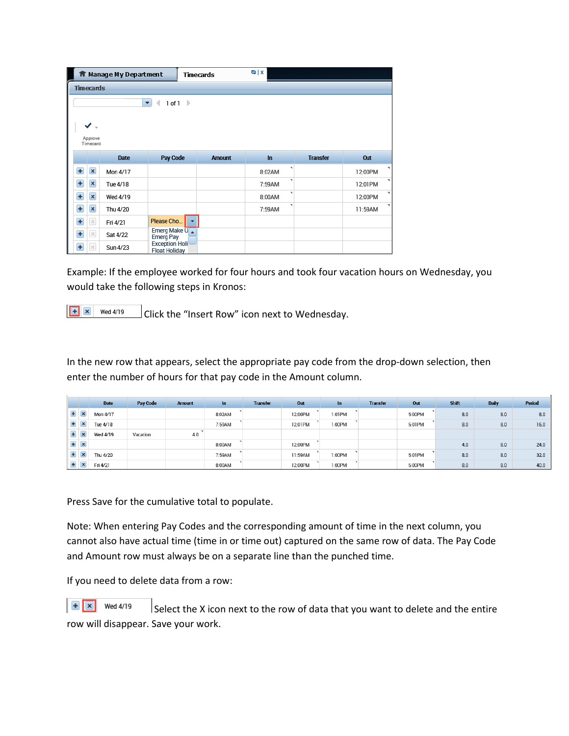|                  |                     | <b>ft</b> Manage My Department |                                               | <b>Timecards</b> | $Q$ $X$     |                 |         |  |
|------------------|---------------------|--------------------------------|-----------------------------------------------|------------------|-------------|-----------------|---------|--|
| <b>Timecards</b> |                     |                                |                                               |                  |             |                 |         |  |
|                  |                     |                                | 1 of 1<br>- 12<br>۰<br>4                      |                  |             |                 |         |  |
|                  |                     |                                |                                               |                  |             |                 |         |  |
|                  | ✔.                  |                                |                                               |                  |             |                 |         |  |
|                  | Approve<br>Timecard |                                |                                               |                  |             |                 |         |  |
|                  |                     |                                |                                               |                  |             |                 |         |  |
|                  |                     | Date                           | Pay Code                                      | <b>Amount</b>    | $\ln$       | <b>Transfer</b> | Out     |  |
| $\overline{+}$   | $\pmb{\times}$      | Mon 4/17                       |                                               |                  | ۰<br>8:02AM |                 | 12:00PM |  |
| Ŧ                | $\pmb{\times}$      | Tue 4/18                       |                                               |                  | ۰<br>7:59AM |                 | 12:01PM |  |
| Ŧ                | $\vert x \vert$     | Wed 4/19                       |                                               |                  | ۰<br>8:00AM |                 | 12:00PM |  |
| Ŧ                | $\pmb{\times}$      | Thu 4/20                       |                                               |                  | ٠<br>7:59AM |                 | 11:59AM |  |
| Ŧ                | $\times$            | Fri 4/21                       | Please Cho                                    |                  |             |                 |         |  |
| Ŧ                | $\times$            | Sat 4/22                       | Emerg Make U<br><b>Emerg Pay</b>              |                  |             |                 |         |  |
| $\ddot{}$        | $\times$            | Sun 4/23                       | <b>Exception Holi</b><br><b>Float Holidav</b> |                  |             |                 |         |  |

Example: If the employee worked for four hours and took four vacation hours on Wednesday, you would take the following steps in Kronos:

 $\begin{array}{|c|c|c|}\n\hline\n\end{array}$  Wed 4/19

Click the "Insert Row" icon next to Wednesday.

In the new row that appears, select the appropriate pay code from the drop-down selection, then enter the number of hours for that pay code in the Amount column.

|   |                           | Date     | Pay Code | <b>Amount</b> | In     | <b>Transfer</b> | Out     | In.    | <b>Transfer</b> | Out     | Shift | <b>Daily</b> | Period |
|---|---------------------------|----------|----------|---------------|--------|-----------------|---------|--------|-----------------|---------|-------|--------------|--------|
|   | $+ x$                     | Mon 4/17 |          |               | 8:02AM |                 | 12:00PM | 1:01PM |                 | 5:00PM  | 8.0   | 8.0          | 8.0    |
| Ð | $\overline{\phantom{a}}$  | Tue 4/18 |          |               | 7:59AM |                 | 12:01PM | 1:00PM |                 | 5:01 PM | 8.0   | 8.0          | 16.0   |
|   | $\boldsymbol{\mathsf{x}}$ | Wed 4/19 | Vacation | 4.0           |        |                 |         |        |                 |         |       |              |        |
|   | $+ x$                     |          |          |               | 8:00AM |                 | 12:00PM |        |                 |         | 4.0   | 8.0          | 24.0   |
|   | $\sim$                    | Thu 4/20 |          |               | 7:59AM |                 | 11:59AM | 1:00PM |                 | 5:01 PM | 8.0   | 8.0          | 32.0   |
|   | $\sim$<br>◚               | Fri 4/21 |          |               | 8:00AM |                 | 12:00PM | 1:00PM |                 | 5:00PM  | 8.0   | 8.0          | 40.0   |

Press Save for the cumulative total to populate.

Note: When entering Pay Codes and the corresponding amount of time in the next column, you cannot also have actual time (time in or time out) captured on the same row of data. The Pay Code and Amount row must always be on a separate line than the punched time.

If you need to delete data from a row:

 $\mathbf{R}$   $\mathbf{x}$  Wed 4/19 Select the X icon next to the row of data that you want to delete and the entire row will disappear. Save your work.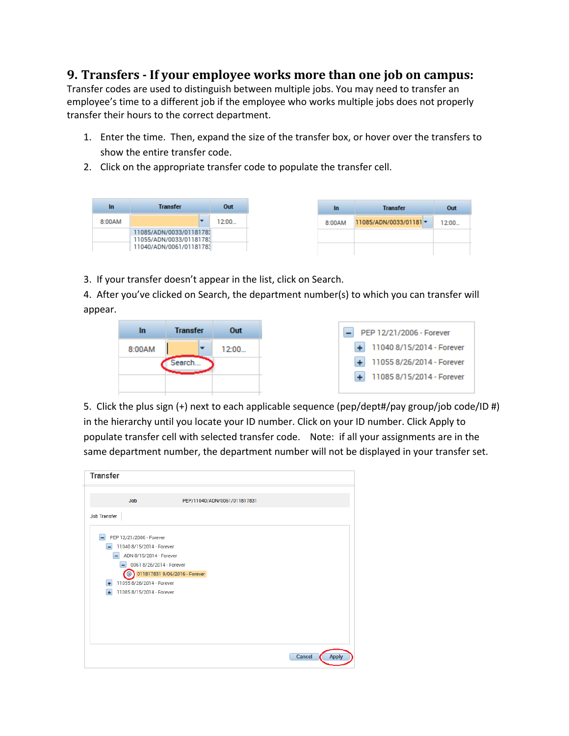### **9. Transfers - If your employee works more than one job on campus:**

Transfer codes are used to distinguish between multiple jobs. You may need to transfer an employee's time to a different job if the employee who works multiple jobs does not properly transfer their hours to the correct department.

- 1. Enter the time. Then, expand the size of the transfer box, or hover over the transfers to show the entire transfer code.
- 2. Click on the appropriate transfer code to populate the transfer cell.

| In     | <b>Transfer</b>                                    | Out   |
|--------|----------------------------------------------------|-------|
| 8:00AM |                                                    | 12:00 |
|        | 11085/ADN/0033/01181783<br>11055/ADN/0033/01181783 |       |
|        | 11040/ADN/0061/01181783                            |       |

3. If your transfer doesn't appear in the list, click on Search.

4. After you've clicked on Search, the department number(s) to which you can transfer will appear.



| PEP 12/21/2006 - Forever                            |  |  |  |  |  |
|-----------------------------------------------------|--|--|--|--|--|
| $+ 110408/15/2014$ - Forever                        |  |  |  |  |  |
| 11055 8/26/2014 - Forever<br>$\left  \cdot \right $ |  |  |  |  |  |
| 11085 8/15/2014 - Forever<br>$+1$                   |  |  |  |  |  |
|                                                     |  |  |  |  |  |

5. Click the plus sign (+) next to each applicable sequence (pep/dept#/pay group/job code/ID #) in the hierarchy until you locate your ID number. Click on your ID number. Click Apply to populate transfer cell with selected transfer code. Note: if all your assignments are in the same department number, the department number will not be displayed in your transfer set.

| <b>Transfer</b>          |                               |                              |  |        |              |  |  |
|--------------------------|-------------------------------|------------------------------|--|--------|--------------|--|--|
| <b>Job</b>               |                               | PEP/11040/ADN/0061/011817831 |  |        |              |  |  |
|                          |                               |                              |  |        |              |  |  |
| <b>Job Transfer</b>      |                               |                              |  |        |              |  |  |
|                          |                               |                              |  |        |              |  |  |
| PEP 12/21/2006 - Forever |                               |                              |  |        |              |  |  |
|                          | 11040 8/15/2014 - Forever     |                              |  |        |              |  |  |
|                          | ADN 8/15/2014 - Forever       |                              |  |        |              |  |  |
|                          | 0061 8/26/2014 - Forever      |                              |  |        |              |  |  |
| $\odot$                  | 011817831 9/06/2016 - Forever |                              |  |        |              |  |  |
| $\ddotmark$              | 11055 8/26/2014 - Forever     |                              |  |        |              |  |  |
| ÷.                       | 11085 8/15/2014 - Forever     |                              |  |        |              |  |  |
|                          |                               |                              |  |        |              |  |  |
|                          |                               |                              |  |        |              |  |  |
|                          |                               |                              |  |        |              |  |  |
|                          |                               |                              |  |        |              |  |  |
|                          |                               |                              |  |        |              |  |  |
|                          |                               |                              |  |        |              |  |  |
|                          |                               |                              |  | Cancel | <b>Apply</b> |  |  |
|                          |                               |                              |  |        |              |  |  |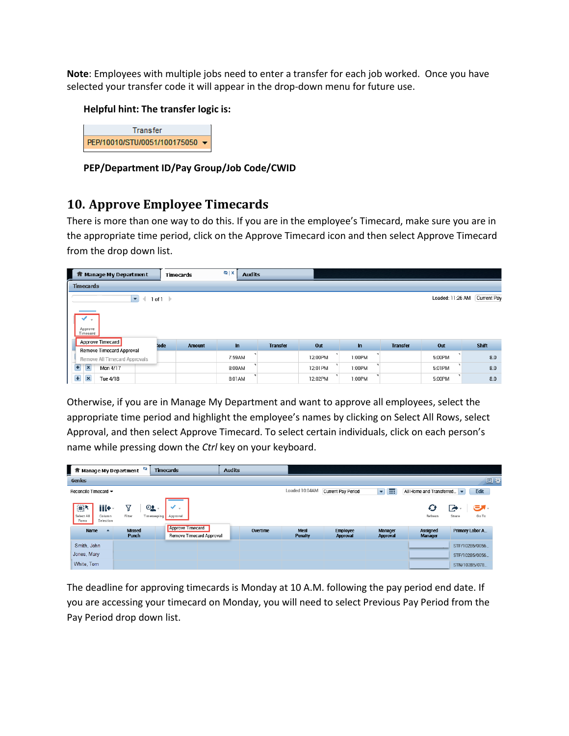**Note**: Employees with multiple jobs need to enter a transfer for each job worked. Once you have selected your transfer code it will appear in the drop-down menu for future use.

#### **Helpful hint: The transfer logic is:**



**PEP/Department ID/Pay Group/Job Code/CWID**

### **10. Approve Employee Timecards**

There is more than one way to do this. If you are in the employee's Timecard, make sure you are in the appropriate time period, click on the Approve Timecard icon and then select Approve Timecard from the drop down list.

| Manage My Department<br>ш                         | <b>Timecards</b>      | $Q$ $X$ | <b>Audits</b>   |          |        |                 |         |                    |
|---------------------------------------------------|-----------------------|---------|-----------------|----------|--------|-----------------|---------|--------------------|
| <b>Timecards</b>                                  |                       |         |                 |          |        |                 |         |                    |
| Loaded: 11:26 AM<br>1 of 1                        |                       |         |                 |          |        |                 |         | <b>Current Pay</b> |
| $\sim$<br>Approve<br>Timecard<br>Approve Timecard | :ode<br><b>Amount</b> | $\ln$   | <b>Transfer</b> | Out      | ln     | <b>Transfer</b> | Out     | Shift              |
| <b>Remove Timecard Approval</b>                   |                       |         |                 |          |        |                 |         |                    |
| Remove All Timecard Approvals                     |                       | 7:59AM  |                 | 12:00PM  | 1:00PM |                 | 5:00PM  | 8.0                |
| $\mathbf{\mathbf{x}}$<br>Mon 4/17<br>Ш            |                       | 8:00AM  |                 | 12:01 PM | 1:00PM |                 | 5:01 PM | 8.0                |
| Œ<br>Tue 4/18<br>$\mathbf{\times}$                |                       | 8:01AM  |                 | 12:02PM  | 1:00PM |                 | 5:00PM  | 8.0                |

Otherwise, if you are in Manage My Department and want to approve all employees, select the appropriate time period and highlight the employee's names by clicking on Select All Rows, select Approval, and then select Approve Timecard. To select certain individuals, click on each person's name while pressing down the *Ctrl* key on your keyboard.

| ආ<br>Manage My Department                                              | <b>Timecards</b>                                    | <b>Audits</b> |                               |                                    |                                   |                                   |                                     |
|------------------------------------------------------------------------|-----------------------------------------------------|---------------|-------------------------------|------------------------------------|-----------------------------------|-----------------------------------|-------------------------------------|
| Genies                                                                 |                                                     |               |                               |                                    |                                   |                                   | 回章                                  |
| Reconcile Timecard ▼                                                   |                                                     |               | Loaded 10:04AM                | <b>Current Pay Period</b>          | Ħ<br>$\blacktriangleright$        | All Home and Transferred          | Edit                                |
| E<br>iii+·<br>7<br>Filter<br>Select All<br>Column<br>Selection<br>Rows | $OQ$ .<br>$\;$<br>Timekeeping<br>Approval           |               |                               |                                    |                                   | Ø<br>Refresh                      | $\mathbf{C}$<br>E<br>Share<br>Go To |
| Name<br><b>Missed</b><br>Punch                                         | <b>Approve Timecard</b><br>Remove Timecard Approval | Overtime      | <b>Meal</b><br><b>Penalty</b> | <b>Employee</b><br><b>Approval</b> | <b>Manager</b><br><b>Approval</b> | <b>Assigned</b><br><b>Manager</b> | Primary Labor A                     |
| Smith, John                                                            |                                                     |               |                               |                                    |                                   |                                   | STF/10285/0056                      |
| Jones, Mary                                                            |                                                     |               |                               |                                    |                                   |                                   | STF/10285/0056.                     |
| White, Tom                                                             |                                                     |               |                               |                                    |                                   |                                   | STN/10285/078.                      |

The deadline for approving timecards is Monday at 10 A.M. following the pay period end date. If you are accessing your timecard on Monday, you will need to select Previous Pay Period from the Pay Period drop down list.